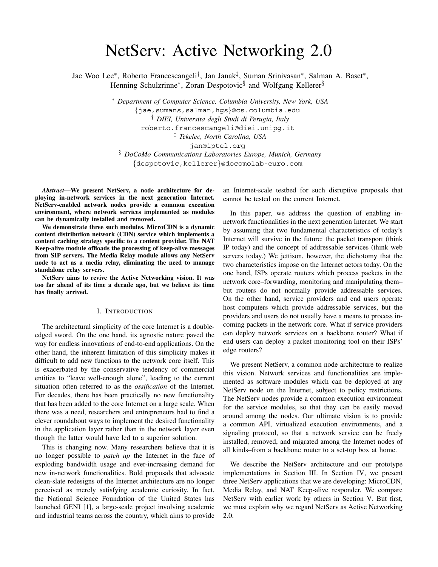# NetServ: Active Networking 2.0

Jae Woo Lee∗, Roberto Francescangeli†, Jan Janak‡, Suman Srinivasan∗, Salman A. Baset∗, Henning Schulzrinne<sup>∗</sup>, Zoran Despotovic<sup>§</sup> and Wolfgang Kellerer<sup>§</sup>

> ∗ *Department of Computer Science, Columbia University, New York, USA {*jae,sumans,salman,hgs*}*@cs.columbia.edu † *DIEI, Universita degli Studi di Perugia, Italy* roberto.francescangeli@diei.unipg.it ‡ *Tekelec, North Carolina, USA* jan@iptel.org

§ *DoCoMo Communications Laboratories Europe, Munich, Germany {*despotovic,kellerer*}*@docomolab-euro.com

*Abstract***—We present NetServ, a node architecture for deploying in-network services in the next generation Internet. NetServ-enabled network nodes provide a common execution environment, where network services implemented as modules can be dynamically installed and removed.**

**We demonstrate three such modules. MicroCDN is a dynamic content distribution network (CDN) service which implements a content caching strategy specific to a content provider. The NAT Keep-alive module offloads the processing of keep-alive messages from SIP servers. The Media Relay module allows any NetServ node to act as a media relay, eliminating the need to manage standalone relay servers.**

**NetServ aims to revive the Active Networking vision. It was too far ahead of its time a decade ago, but we believe its time has finally arrived.**

#### I. INTRODUCTION

The architectural simplicity of the core Internet is a doubleedged sword. On the one hand, its agnostic nature paved the way for endless innovations of end-to-end applications. On the other hand, the inherent limitation of this simplicity makes it difficult to add new functions to the network core itself. This is exacerbated by the conservative tendency of commercial entities to "leave well-enough alone", leading to the current situation often referred to as the *ossification* of the Internet. For decades, there has been practically no new functionality that has been added to the core Internet on a large scale. When there was a need, researchers and entrepreneurs had to find a clever roundabout ways to implement the desired functionality in the application layer rather than in the network layer even though the latter would have led to a superior solution.

This is changing now. Many researchers believe that it is no longer possible to *patch up* the Internet in the face of exploding bandwidth usage and ever-increasing demand for new in-network functionalities. Bold proposals that advocate clean-slate redesigns of the Internet architecture are no longer perceived as merely satisfying academic curiosity. In fact, the National Science Foundation of the United States has launched GENI [1], a large-scale project involving academic and industrial teams across the country, which aims to provide

an Internet-scale testbed for such disruptive proposals that cannot be tested on the current Internet.

In this paper, we address the question of enabling innetwork functionalities in the next generation Internet. We start by assuming that two fundamental characteristics of today's Internet will survive in the future: the packet transport (think IP today) and the concept of addressable services (think web servers today.) We jettison, however, the dichotomy that the two characteristics impose on the Internet actors today. On the one hand, ISPs operate routers which process packets in the network core–forwarding, monitoring and manipulating them– but routers do not normally provide addressable services. On the other hand, service providers and end users operate host computers which provide addressable services, but the providers and users do not usually have a means to process incoming packets in the network core. What if service providers can deploy network services on a backbone router? What if end users can deploy a packet monitoring tool on their ISPs' edge routers?

We present NetServ, a common node architecture to realize this vision. Network services and functionalities are implemented as software modules which can be deployed at any NetServ node on the Internet, subject to policy restrictions. The NetServ nodes provide a common execution environment for the service modules, so that they can be easily moved around among the nodes. Our ultimate vision is to provide a common API, virtualized execution environments, and a signaling protocol, so that a network service can be freely installed, removed, and migrated among the Internet nodes of all kinds–from a backbone router to a set-top box at home.

We describe the NetServ architecture and our prototype implementations in Section III. In Section IV, we present three NetServ applications that we are developing: MicroCDN, Media Relay, and NAT Keep-alive responder. We compare NetServ with earlier work by others in Section V. But first, we must explain why we regard NetServ as Active Networking 2.0.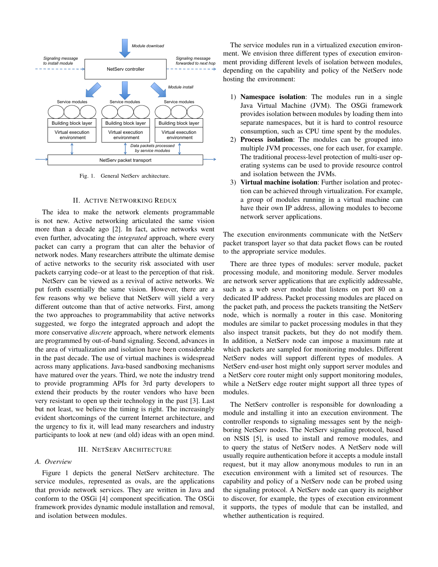

Fig. 1. General NetServ architecture.

#### II. ACTIVE NETWORKING REDUX

The idea to make the network elements programmable is not new. Active networking articulated the same vision more than a decade ago [2]. In fact, active networks went even further, advocating the *integrated* approach, where every packet can carry a program that can alter the behavior of network nodes. Many researchers attribute the ultimate demise of active networks to the security risk associated with user packets carrying code–or at least to the perception of that risk.

NetServ can be viewed as a revival of active networks. We put forth essentially the same vision. However, there are a few reasons why we believe that NetServ will yield a very different outcome than that of active networks. First, among the two approaches to programmability that active networks suggested, we forgo the integrated approach and adopt the more conservative *discrete* approach, where network elements are programmed by out-of-band signaling. Second, advances in the area of virtualization and isolation have been considerable in the past decade. The use of virtual machines is widespread across many applications. Java-based sandboxing mechanisms have matured over the years. Third, we note the industry trend to provide programming APIs for 3rd party developers to extend their products by the router vendors who have been very resistant to open up their technology in the past [3]. Last but not least, we believe the timing is right. The increasingly evident shortcomings of the current Internet architecture, and the urgency to fix it, will lead many researchers and industry participants to look at new (and old) ideas with an open mind.

## III. NETSERV ARCHITECTURE

## *A. Overview*

Figure 1 depicts the general NetServ architecture. The service modules, represented as ovals, are the applications that provide network services. They are written in Java and conform to the OSGi [4] component specification. The OSGi framework provides dynamic module installation and removal, and isolation between modules.

The service modules run in a virtualized execution environment. We envision three different types of execution environment providing different levels of isolation between modules, depending on the capability and policy of the NetServ node hosting the environment:

- 1) **Namespace isolation**: The modules run in a single Java Virtual Machine (JVM). The OSGi framework provides isolation between modules by loading them into separate namespaces, but it is hard to control resource consumption, such as CPU time spent by the modules.
- 2) **Process isolation**: The modules can be grouped into multiple JVM processes, one for each user, for example. The traditional process-level protection of multi-user operating systems can be used to provide resource control and isolation between the JVMs.
- 3) **Virtual machine isolation**: Further isolation and protection can be achieved through virtualization. For example, a group of modules running in a virtual machine can have their own IP address, allowing modules to become network server applications.

The execution environments communicate with the NetServ packet transport layer so that data packet flows can be routed to the appropriate service modules.

There are three types of modules: server module, packet processing module, and monitoring module. Server modules are network server applications that are explicitly addressable, such as a web sever module that listens on port 80 on a dedicated IP address. Packet processing modules are placed on the packet path, and process the packets transiting the NetServ node, which is normally a router in this case. Monitoring modules are similar to packet processing modules in that they also inspect transit packets, but they do not modify them. In addition, a NetServ node can impose a maximum rate at which packets are sampled for monitoring modules. Different NetServ nodes will support different types of modules. A NetServ end-user host might only support server modules and a NetServ core router might only support monitoring modules, while a NetServ edge router might support all three types of modules.

The NetServ controller is responsible for downloading a module and installing it into an execution environment. The controller responds to signaling messages sent by the neighboring NetServ nodes. The NetServ signaling protocol, based on NSIS [5], is used to install and remove modules, and to query the status of NetServ nodes. A NetServ node will usually require authentication before it accepts a module install request, but it may allow anonymous modules to run in an execution environment with a limited set of resources. The capability and policy of a NetServ node can be probed using the signaling protocol. A NetServ node can query its neighbor to discover, for example, the types of execution environment it supports, the types of module that can be installed, and whether authentication is required.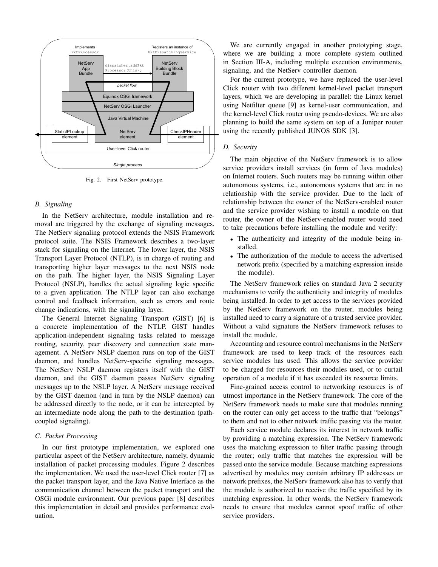

Fig. 2. First NetServ prototype.

### *B. Signaling*

In the NetServ architecture, module installation and removal are triggered by the exchange of signaling messages. The NetServ signaling protocol extends the NSIS Framework protocol suite. The NSIS Framework describes a two-layer stack for signaling on the Internet. The lower layer, the NSIS Transport Layer Protocol (NTLP), is in charge of routing and transporting higher layer messages to the next NSIS node on the path. The higher layer, the NSIS Signaling Layer Protocol (NSLP), handles the actual signaling logic specific to a given application. The NTLP layer can also exchange control and feedback information, such as errors and route change indications, with the signaling layer.

The General Internet Signaling Transport (GIST) [6] is a concrete implementation of the NTLP. GIST handles application-independent signaling tasks related to message routing, security, peer discovery and connection state management. A NetServ NSLP daemon runs on top of the GIST daemon, and handles NetServ-specific signaling messages. The NetServ NSLP daemon registers itself with the GIST daemon, and the GIST daemon passes NetServ signaling messages up to the NSLP layer. A NetServ message received by the GIST daemon (and in turn by the NSLP daemon) can be addressed directly to the node, or it can be intercepted by an intermediate node along the path to the destination (pathcoupled signaling).

## *C. Packet Processing*

In our first prototype implementation, we explored one particular aspect of the NetServ architecture, namely, dynamic installation of packet processing modules. Figure 2 describes the implementation. We used the user-level Click router [7] as the packet transport layer, and the Java Native Interface as the communication channel between the packet transport and the OSGi module environment. Our previous paper [8] describes this implementation in detail and provides performance evaluation.

We are currently engaged in another prototyping stage, where we are building a more complete system outlined in Section III-A, including multiple execution environments, signaling, and the NetServ controller daemon.

For the current prototype, we have replaced the user-level Click router with two different kernel-level packet transport layers, which we are developing in parallel: the Linux kernel using Netfilter queue [9] as kernel-user communication, and the kernel-level Click router using pseudo-devices. We are also planning to build the same system on top of a Juniper router using the recently published JUNOS SDK [3].

## *D. Security*

The main objective of the NetServ framework is to allow service providers install services (in form of Java modules) on Internet routers. Such routers may be running within other autonomous systems, i.e., autonomous systems that are in no relationship with the service provider. Due to the lack of relationship between the owner of the NetServ-enabled router and the service provider wishing to install a module on that router, the owner of the NetServ-enabled router would need to take precautions before installing the module and verify:

- *•* The authenticity and integrity of the module being installed.
- *•* The authorization of the module to access the advertised network prefix (specified by a matching expression inside the module).

The NetServ framework relies on standard Java 2 security mechanisms to verify the authenticity and integrity of modules being installed. In order to get access to the services provided by the NetServ framework on the router, modules being installed need to carry a signature of a trusted service provider. Without a valid signature the NetServ framework refuses to install the module.

Accounting and resource control mechanisms in the NetServ framework are used to keep track of the resources each service modules has used. This allows the service provider to be charged for resources their modules used, or to curtail operation of a module if it has exceeded its resource limits.

Fine-grained access control to networking resources is of utmost importance in the NetServ framework. The core of the NetServ framework needs to make sure that modules running on the router can only get access to the traffic that "belongs" to them and not to other network traffic passing via the router.

Each service module declares its interest in network traffic by providing a matching expression. The NetServ framework uses the matching expression to filter traffic passing through the router; only traffic that matches the expression will be passed onto the service module. Because matching expressions advertised by modules may contain arbitrary IP addresses or network prefixes, the NetServ framework also has to verify that the module is authorized to receive the traffic specified by its matching expression. In other words, the NetServ framework needs to ensure that modules cannot spoof traffic of other service providers.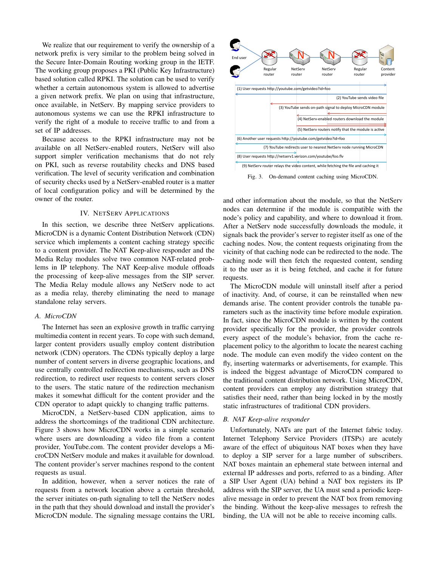We realize that our requirement to verify the ownership of a network prefix is very similar to the problem being solved in the Secure Inter-Domain Routing working group in the IETF. The working group proposes a PKI (Public Key Infrastructure) based solution called RPKI. The solution can be used to verify whether a certain autonomous system is allowed to advertise a given network prefix. We plan on using that infrastructure, once available, in NetServ. By mapping service providers to autonomous systems we can use the RPKI infrastructure to verify the right of a module to receive traffic to and from a set of IP addresses.

Because access to the RPKI infrastructure may not be available on all NetServ-enabled routers, NetServ will also support simpler verification mechanisms that do not rely on PKI, such as reverse routability checks and DNS based verification. The level of security verification and combination of security checks used by a NetServ-enabled router is a matter of local configuration policy and will be determined by the owner of the router.

#### IV. NETSERV APPLICATIONS

In this section, we describe three NetServ applications. MicroCDN is a dynamic Content Distribution Network (CDN) service which implements a content caching strategy specific to a content provider. The NAT Keep-alive responder and the Media Relay modules solve two common NAT-related problems in IP telephony. The NAT Keep-alive module offloads the processing of keep-alive messages from the SIP server. The Media Relay module allows any NetServ node to act as a media relay, thereby eliminating the need to manage standalone relay servers.

#### *A. MicroCDN*

The Internet has seen an explosive growth in traffic carrying multimedia content in recent years. To cope with such demand, larger content providers usually employ content distribution network (CDN) operators. The CDNs typically deploy a large number of content servers in diverse geographic locations, and use centrally controlled redirection mechanisms, such as DNS redirection, to redirect user requests to content servers closer to the users. The static nature of the redirection mechanism makes it somewhat difficult for the content provider and the CDN operator to adapt quickly to changing traffic patterns.

MicroCDN, a NetServ-based CDN application, aims to address the shortcomings of the traditional CDN architecture. Figure 3 shows how MicroCDN works in a simple scenario where users are downloading a video file from a content provider, YouTube.com. The content provider develops a MicroCDN NetServ module and makes it available for download. The content provider's server machines respond to the content requests as usual.

In addition, however, when a server notices the rate of requests from a network location above a certain threshold, the server initiates on-path signaling to tell the NetServ nodes in the path that they should download and install the provider's MicroCDN module. The signaling message contains the URL



Fig. 3. On-demand content caching using MicroCDN.

and other information about the module, so that the NetServ nodes can determine if the module is compatible with the node's policy and capability, and where to download it from. After a NetServ node successfully downloads the module, it signals back the provider's server to register itself as one of the caching nodes. Now, the content requests originating from the vicinity of that caching node can be redirected to the node. The caching node will then fetch the requested content, sending it to the user as it is being fetched, and cache it for future requests.

The MicroCDN module will uninstall itself after a period of inactivity. And, of course, it can be reinstalled when new demands arise. The content provider controls the tunable parameters such as the inactivity time before module expiration. In fact, since the MicroCDN module is written by the content provider specifically for the provider, the provider controls every aspect of the module's behavior, from the cache replacement policy to the algorithm to locate the nearest caching node. The module can even modify the video content on the fly, inserting watermarks or advertisements, for example. This is indeed the biggest advantage of MicroCDN compared to the traditional content distribution network. Using MicroCDN, content providers can employ any distribution strategy that satisfies their need, rather than being locked in by the mostly static infrastructures of traditional CDN providers.

#### *B. NAT Keep-alive responder*

Unfortunately, NATs are part of the Internet fabric today. Internet Telephony Service Providers (ITSPs) are acutely aware of the effect of ubiquitous NAT boxes when they have to deploy a SIP server for a large number of subscribers. NAT boxes maintain an ephemeral state between internal and external IP addresses and ports, referred to as a binding. After a SIP User Agent (UA) behind a NAT box registers its IP address with the SIP server, the UA must send a periodic keepalive message in order to prevent the NAT box from removing the binding. Without the keep-alive messages to refresh the binding, the UA will not be able to receive incoming calls.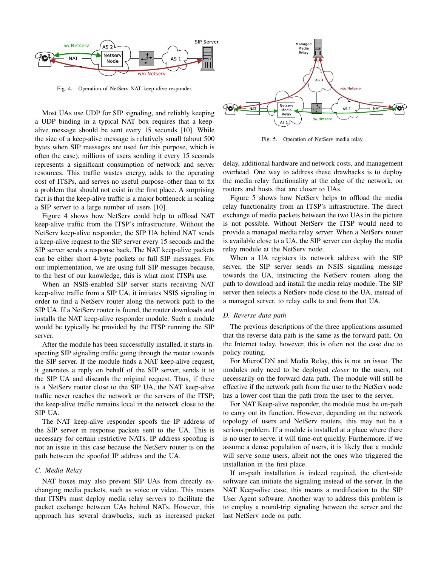

Fig. 4. Operation of NetServ NAT keep-alive responder.

Most UAs use UDP for SIP signaling, and reliably keeping a UDP binding in a typical NAT box requires that a keepalive message should be sent every 15 seconds [10]. While the size of a keep-alive message is relatively small (about 500 bytes when SIP messages are used for this purpose, which is often the case), millions of users sending it every 15 seconds represents a significant consumption of network and server resources. This traffic wastes energy, adds to the operating cost of ITSPs, and serves no useful purpose–other than to fix a problem that should not exist in the first place. A surprising fact is that the keep-alive traffic is a major bottleneck in scaling a SIP server to a large number of users [10].

Figure 4 shows how NetServ could help to offload NAT keep-alive traffic from the ITSP's infrastructure. Without the NetServ keep-alive responder, the SIP UA behind NAT sends a keep-alive request to the SIP server every 15 seconds and the SIP server sends a response back. The NAT keep-alive packets can be either short 4-byte packets or full SIP messages. For our implementation, we are using full SIP messages because, to the best of our knowledge, this is what most ITSPs use.

When an NSIS-enabled SIP server starts receiving NAT keep-alive traffic from a SIP UA, it initiates NSIS signaling in order to find a NetServ router along the network path to the SIP UA. If a NetServ router is found, the router downloads and installs the NAT keep-alive responder module. Such a module would be typically be provided by the ITSP running the SIP server.

After the module has been successfully installed, it starts inspecting SIP signaling traffic going through the router towards the SIP server. If the module finds a NAT keep-alive request, it generates a reply on behalf of the SIP server, sends it to the SIP UA and discards the original request. Thus, if there is a NetServ router close to the SIP UA, the NAT keep-alive traffic never reaches the network or the servers of the ITSP; the keep-alive traffic remains local in the network close to the SIP UA.

The NAT keep-alive responder spoofs the IP address of the SIP server in response packets sent to the UA. This is necessary for certain restrictive NATs. IP address spoofing is not an issue in this case because the NetServ router is on the path between the spoofed IP address and the UA.

#### *C. Media Relay*

NAT boxes may also prevent SIP UAs from directly exchanging media packets, such as voice or video. This means that ITSPs must deploy media relay servers to facilitate the packet exchange between UAs behind NATs. However, this approach has several drawbacks, such as increased packet



Fig. 5. Operation of NetServ media relay.

delay, additional hardware and network costs, and management overhead. One way to address these drawbacks is to deploy the media relay functionality at the edge of the network, on routers and hosts that are closer to UAs.

Figure 5 shows how NetServ helps to offload the media relay functionality from an ITSP's infrastructure. The direct exchange of media packets between the two UAs in the picture is not possible. Without NetServ the ITSP would need to provide a managed media relay server. When a NetServ router is available close to a UA, the SIP server can deploy the media relay module at the NetServ node.

When a UA registers its network address with the SIP server, the SIP server sends an NSIS signaling message towards the UA, instructing the NetServ routers along the path to download and install the media relay module. The SIP server then selects a NetServ node close to the UA, instead of a managed server, to relay calls to and from that UA.

## *D. Reverse data path*

The previous descriptions of the three applications assumed that the reverse data path is the same as the forward path. On the Internet today, however, this is often not the case due to policy routing.

For MicroCDN and Media Relay, this is not an issue. The modules only need to be deployed *closer* to the users, not necessarily on the forward data path. The module will still be effective if the network path from the user to the NetServ node has a lower cost than the path from the user to the server.

For NAT Keep-alive responder, the module must be on-path to carry out its function. However, depending on the network topology of users and NetServ routers, this may not be a serious problem. If a module is installed at a place where there is no user to serve, it will time-out quickly. Furthermore, if we assume a dense population of users, it is likely that a module will serve some users, albeit not the ones who triggered the installation in the first place.

If on-path installation is indeed required, the client-side software can initiate the signaling instead of the server. In the NAT Keep-alive case, this means a modification to the SIP User Agent software. Another way to address this problem is to employ a round-trip signaling between the server and the last NetServ node on path.